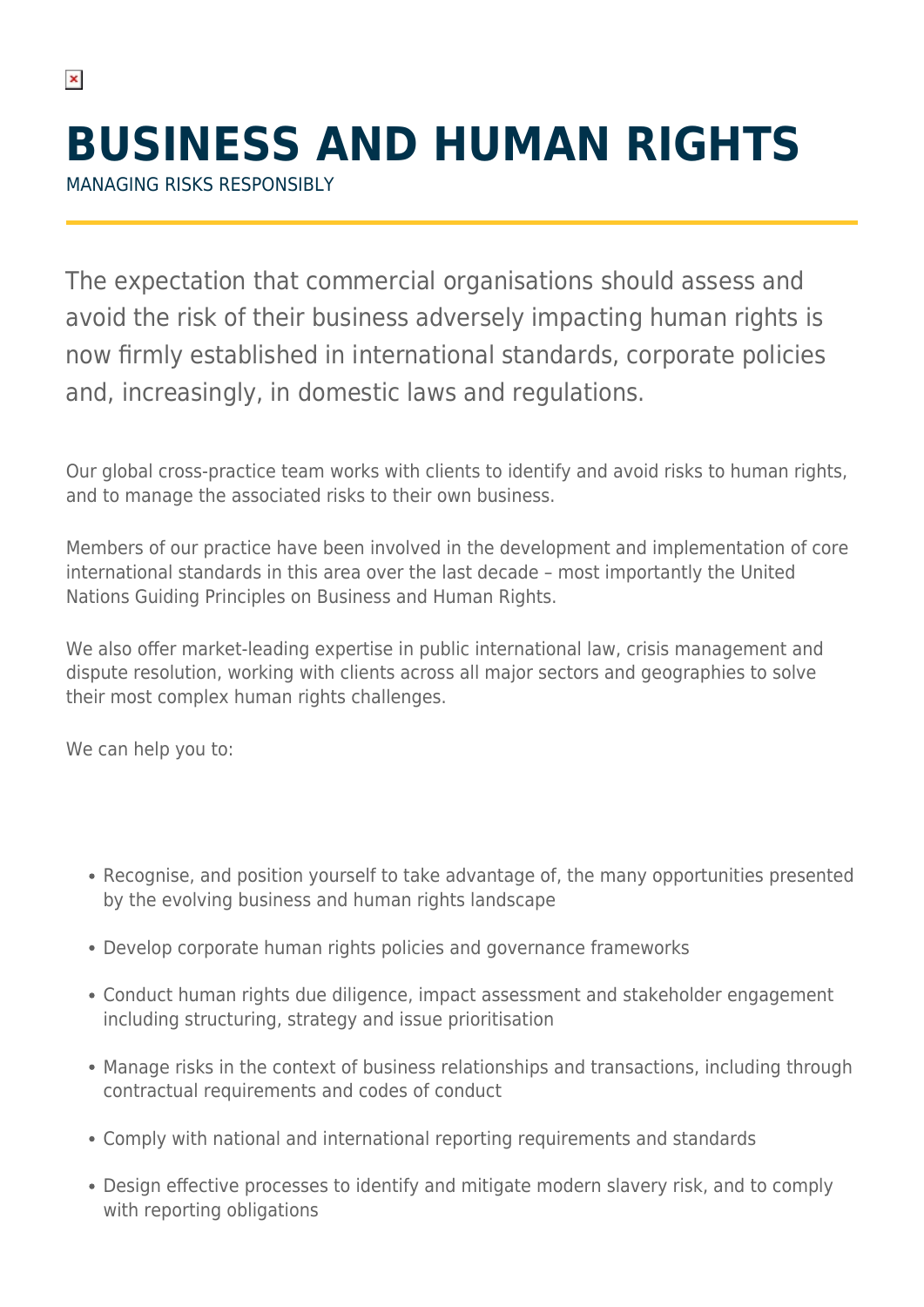MANAGING RISKS RESPONSIBLY

 $\pmb{\times}$ 

The expectation that commercial organisations should assess and avoid the risk of their business adversely impacting human rights is now firmly established in international standards, corporate policies and, increasingly, in domestic laws and regulations.

Our global cross-practice team works with clients to identify and avoid risks to human rights, and to manage the associated risks to their own business.

Members of our practice have been involved in the development and implementation of core international standards in this area over the last decade – most importantly the United Nations Guiding Principles on Business and Human Rights.

We also offer market-leading expertise in public international law, crisis management and dispute resolution, working with clients across all major sectors and geographies to solve their most complex human rights challenges.

We can help you to:

- Recognise, and position yourself to take advantage of, the many opportunities presented by the evolving business and human rights landscape
- Develop corporate human rights policies and governance frameworks
- Conduct human rights due diligence, impact assessment and stakeholder engagement including structuring, strategy and issue prioritisation
- Manage risks in the context of business relationships and transactions, including through contractual requirements and codes of conduct
- Comply with national and international reporting requirements and standards
- Design effective processes to identify and mitigate modern slavery risk, and to comply with reporting obligations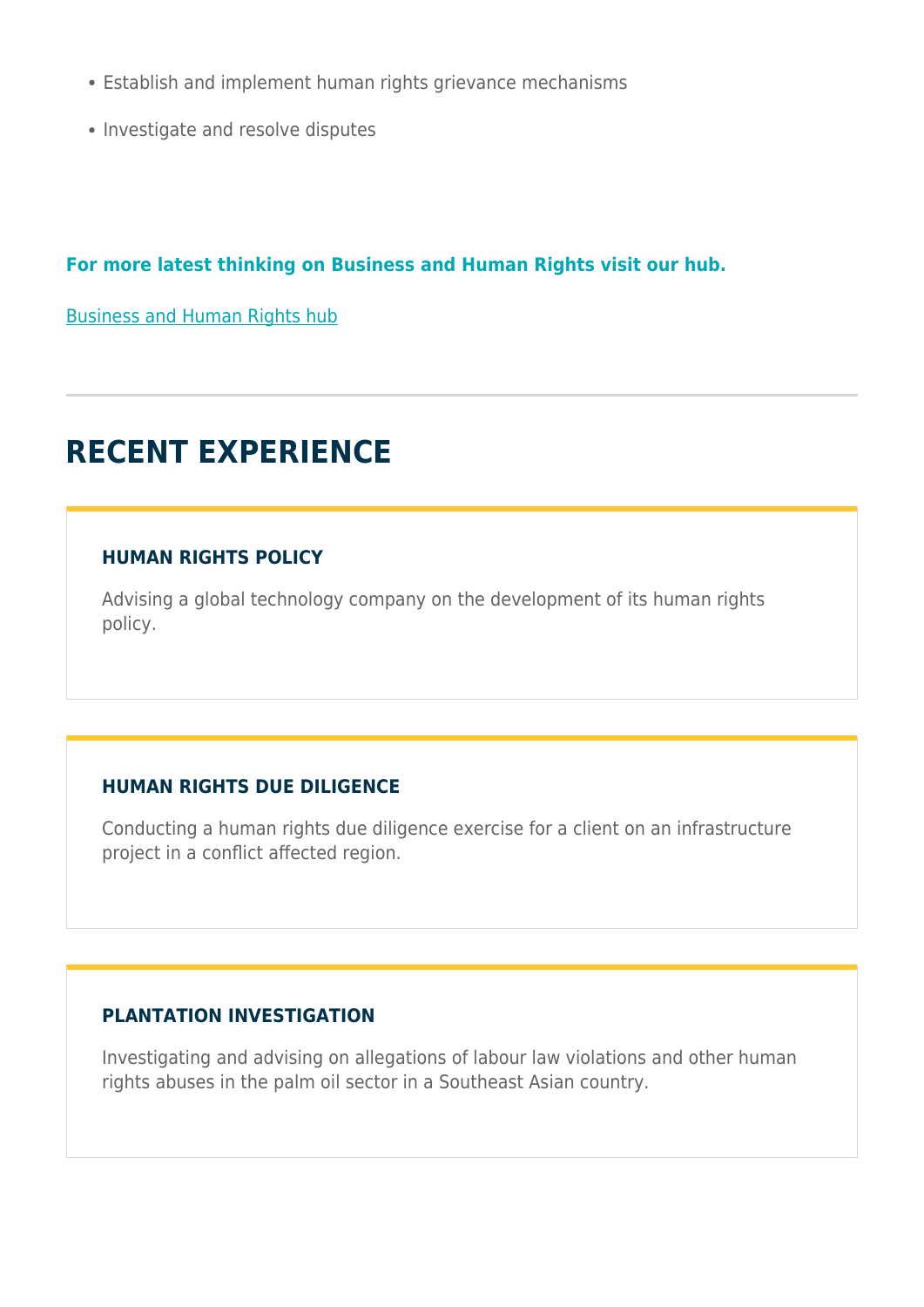- Establish and implement human rights grievance mechanisms
- Investigate and resolve disputes

### **For more latest thinking on Business and Human Rights visit our hub.**

[Business and Human Rights hub](https://www.herbertsmithfreehills.com/latest-thinking/hubs/business-and-human-rights)

# **RECENT EXPERIENCE**

### **HUMAN RIGHTS POLICY**

Advising a global technology company on the development of its human rights policy.

# **HUMAN RIGHTS DUE DILIGENCE**

Conducting a human rights due diligence exercise for a client on an infrastructure project in a conflict affected region.

#### **PLANTATION INVESTIGATION**

Investigating and advising on allegations of labour law violations and other human rights abuses in the palm oil sector in a Southeast Asian country.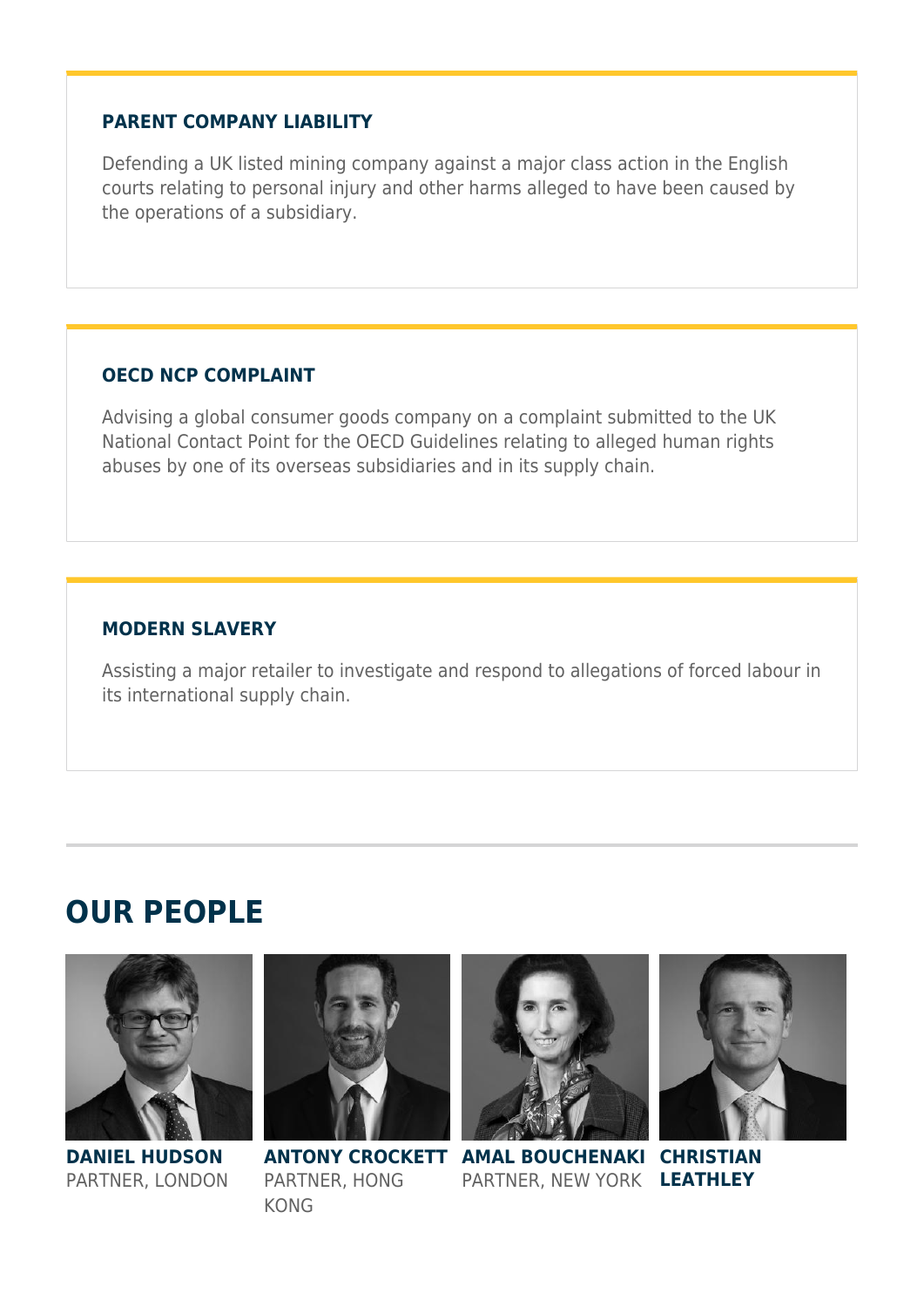#### **PARENT COMPANY LIABILITY**

Defending a UK listed mining company against a major class action in the English courts relating to personal injury and other harms alleged to have been caused by the operations of a subsidiary.

# **OECD NCP COMPLAINT**

Advising a global consumer goods company on a complaint submitted to the UK National Contact Point for the OECD Guidelines relating to alleged human rights abuses by one of its overseas subsidiaries and in its supply chain.

# **MODERN SLAVERY**

Assisting a major retailer to investigate and respond to allegations of forced labour in its international supply chain.

# **OUR PEOPLE**



#### **DANIEL HUDSON** PARTNER, LONDON



PARTNER, HONG KONG



**ANTONY CROCKETT AMAL BOUCHENAKI CHRISTIAN** PARTNER, NEW YORK **LEATHLEY**